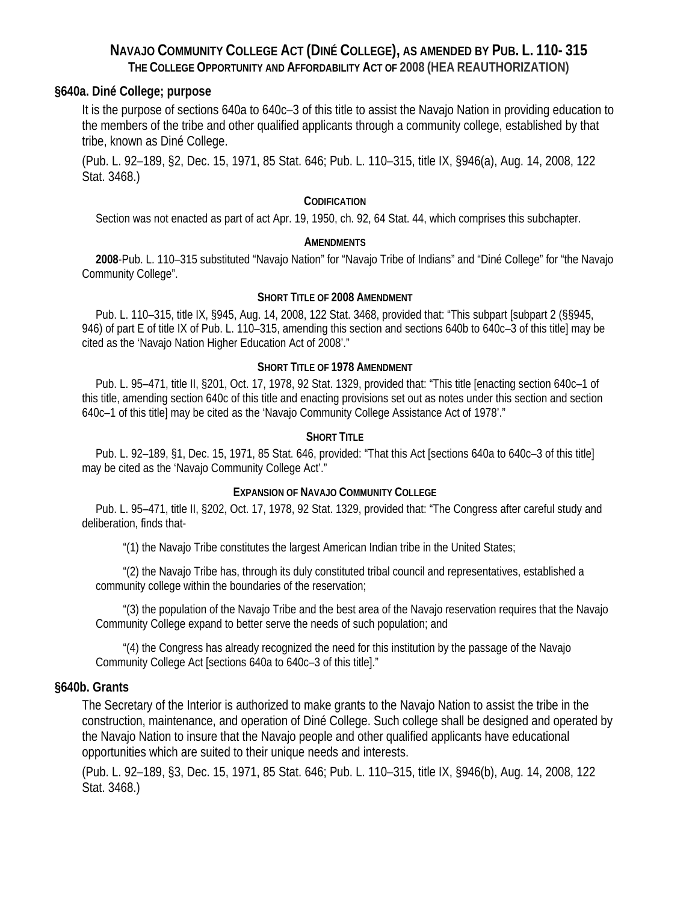# **NAVAJO COMMUNITY COLLEGE ACT (DINÉ COLLEGE), AS AMENDED BY PUB. L. 110- 315 THE COLLEGE OPPORTUNITY AND AFFORDABILITY ACT OF 2008 (HEA REAUTHORIZATION)**

# **§640a. Diné College; purpose**

It is the purpose of sections 640a to 640c–3 of this title to assist the Navajo Nation in providing education to the members of the tribe and other qualified applicants through a community college, established by that tribe, known as Diné College.

(Pub. L. 92–189, §2, Dec. 15, 1971, 85 Stat. 646; Pub. L. 110–315, title IX, §946(a), Aug. 14, 2008, 122 Stat. 3468.)

### **CODIFICATION**

Section was not enacted as part of act Apr. 19, 1950, ch. 92, 64 Stat. 44, which comprises this subchapter.

### **AMENDMENTS**

**2008**-Pub. L. 110–315 substituted "Navajo Nation" for "Navajo Tribe of Indians" and "Diné College" for "the Navajo Community College".

### **SHORT TITLE OF 2008 AMENDMENT**

Pub. L. 110–315, title IX, §945, Aug. 14, 2008, 122 Stat. 3468, provided that: "This subpart [subpart 2 (§§945, 946) of part E of title IX of Pub. L. 110–315, amending this section and sections 640b to 640c–3 of this title] may be cited as the 'Navajo Nation Higher Education Act of 2008'."

### **SHORT TITLE OF 1978 AMENDMENT**

Pub. L. 95–471, title II, §201, Oct. 17, 1978, 92 Stat. 1329, provided that: "This title [enacting section 640c–1 of this title, amending section 640c of this title and enacting provisions set out as notes under this section and section 640c–1 of this title] may be cited as the 'Navajo Community College Assistance Act of 1978'."

### **SHORT TITLE**

Pub. L. 92–189, §1, Dec. 15, 1971, 85 Stat. 646, provided: "That this Act [sections 640a to 640c–3 of this title] may be cited as the 'Navajo Community College Act'."

### **EXPANSION OF NAVAJO COMMUNITY COLLEGE**

Pub. L. 95–471, title II, §202, Oct. 17, 1978, 92 Stat. 1329, provided that: "The Congress after careful study and deliberation, finds that-

"(1) the Navajo Tribe constitutes the largest American Indian tribe in the United States;

"(2) the Navajo Tribe has, through its duly constituted tribal council and representatives, established a community college within the boundaries of the reservation;

"(3) the population of the Navajo Tribe and the best area of the Navajo reservation requires that the Navajo Community College expand to better serve the needs of such population; and

"(4) the Congress has already recognized the need for this institution by the passage of the Navajo Community College Act [sections 640a to 640c–3 of this title]."

### **§640b. Grants**

The Secretary of the Interior is authorized to make grants to the Navajo Nation to assist the tribe in the construction, maintenance, and operation of Diné College. Such college shall be designed and operated by the Navajo Nation to insure that the Navajo people and other qualified applicants have educational opportunities which are suited to their unique needs and interests.

(Pub. L. 92–189, §3, Dec. 15, 1971, 85 Stat. 646; Pub. L. 110–315, title IX, §946(b), Aug. 14, 2008, 122 Stat. 3468.)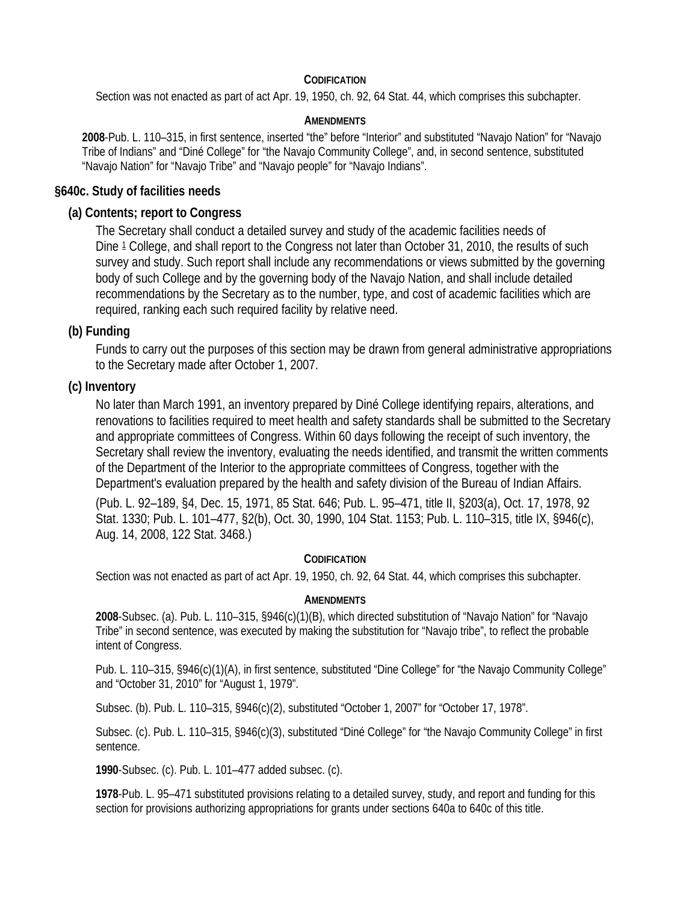### **CODIFICATION**

Section was not enacted as part of act Apr. 19, 1950, ch. 92, 64 Stat. 44, which comprises this subchapter.

### **AMENDMENTS**

**2008**-Pub. L. 110–315, in first sentence, inserted "the" before "Interior" and substituted "Navajo Nation" for "Navajo Tribe of Indians" and "Diné College" for "the Navajo Community College", and, in second sentence, substituted "Navajo Nation" for "Navajo Tribe" and "Navajo people" for "Navajo Indians".

# **§640c. Study of facilities needs**

# **(a) Contents; report to Congress**

The Secretary shall conduct a detailed survey and study of the academic facilities needs of Dine 1 College, and shall report to the Congress not later than October 31, 2010, the results of such survey and study. Such report shall include any recommendations or views submitted by the governing body of such College and by the governing body of the Navajo Nation, and shall include detailed recommendations by the Secretary as to the number, type, and cost of academic facilities which are required, ranking each such required facility by relative need.

# **(b) Funding**

Funds to carry out the purposes of this section may be drawn from general administrative appropriations to the Secretary made after October 1, 2007.

# **(c) Inventory**

No later than March 1991, an inventory prepared by Diné College identifying repairs, alterations, and renovations to facilities required to meet health and safety standards shall be submitted to the Secretary and appropriate committees of Congress. Within 60 days following the receipt of such inventory, the Secretary shall review the inventory, evaluating the needs identified, and transmit the written comments of the Department of the Interior to the appropriate committees of Congress, together with the Department's evaluation prepared by the health and safety division of the Bureau of Indian Affairs.

(Pub. L. 92–189, §4, Dec. 15, 1971, 85 Stat. 646; Pub. L. 95–471, title II, §203(a), Oct. 17, 1978, 92 Stat. 1330; Pub. L. 101–477, §2(b), Oct. 30, 1990, 104 Stat. 1153; Pub. L. 110–315, title IX, §946(c), Aug. 14, 2008, 122 Stat. 3468.)

# **CODIFICATION**

Section was not enacted as part of act Apr. 19, 1950, ch. 92, 64 Stat. 44, which comprises this subchapter.

### **AMENDMENTS**

**2008**-Subsec. (a). Pub. L. 110–315, §946(c)(1)(B), which directed substitution of "Navajo Nation" for "Navajo Tribe" in second sentence, was executed by making the substitution for "Navajo tribe", to reflect the probable intent of Congress.

Pub. L. 110-315, §946(c)(1)(A), in first sentence, substituted "Dine College" for "the Navajo Community College" and "October 31, 2010" for "August 1, 1979".

Subsec. (b). Pub. L. 110–315, §946(c)(2), substituted "October 1, 2007" for "October 17, 1978".

Subsec. (c). Pub. L. 110–315, §946(c)(3), substituted "Diné College" for "the Navajo Community College" in first sentence.

**1990**-Subsec. (c). Pub. L. 101–477 added subsec. (c).

**1978**-Pub. L. 95–471 substituted provisions relating to a detailed survey, study, and report and funding for this section for provisions authorizing appropriations for grants under sections 640a to 640c of this title.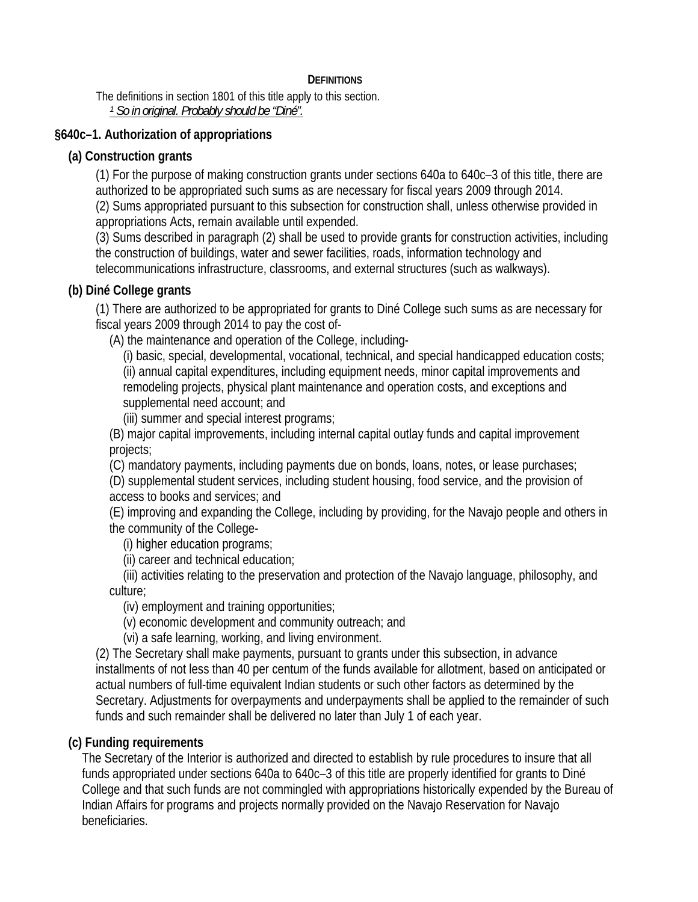# **DEFINITIONS**

The definitions in section 1801 of this title apply to this section. *1 So in original. Probably should be "Diné".* 

# **§640c–1. Authorization of appropriations**

# **(a) Construction grants**

(1) For the purpose of making construction grants under sections 640a to 640c–3 of this title, there are authorized to be appropriated such sums as are necessary for fiscal years 2009 through 2014.

(2) Sums appropriated pursuant to this subsection for construction shall, unless otherwise provided in appropriations Acts, remain available until expended.

(3) Sums described in paragraph (2) shall be used to provide grants for construction activities, including the construction of buildings, water and sewer facilities, roads, information technology and telecommunications infrastructure, classrooms, and external structures (such as walkways).

# **(b) Diné College grants**

(1) There are authorized to be appropriated for grants to Diné College such sums as are necessary for fiscal years 2009 through 2014 to pay the cost of-

(A) the maintenance and operation of the College, including-

(i) basic, special, developmental, vocational, technical, and special handicapped education costs; (ii) annual capital expenditures, including equipment needs, minor capital improvements and remodeling projects, physical plant maintenance and operation costs, and exceptions and supplemental need account; and

(iii) summer and special interest programs;

(B) major capital improvements, including internal capital outlay funds and capital improvement projects;

(C) mandatory payments, including payments due on bonds, loans, notes, or lease purchases;

(D) supplemental student services, including student housing, food service, and the provision of access to books and services; and

(E) improving and expanding the College, including by providing, for the Navajo people and others in the community of the College-

(i) higher education programs;

(ii) career and technical education;

(iii) activities relating to the preservation and protection of the Navajo language, philosophy, and culture;

(iv) employment and training opportunities;

(v) economic development and community outreach; and

(vi) a safe learning, working, and living environment.

(2) The Secretary shall make payments, pursuant to grants under this subsection, in advance installments of not less than 40 per centum of the funds available for allotment, based on anticipated or actual numbers of full-time equivalent Indian students or such other factors as determined by the Secretary. Adjustments for overpayments and underpayments shall be applied to the remainder of such funds and such remainder shall be delivered no later than July 1 of each year.

# **(c) Funding requirements**

The Secretary of the Interior is authorized and directed to establish by rule procedures to insure that all funds appropriated under sections 640a to 640c–3 of this title are properly identified for grants to Diné College and that such funds are not commingled with appropriations historically expended by the Bureau of Indian Affairs for programs and projects normally provided on the Navajo Reservation for Navajo beneficiaries.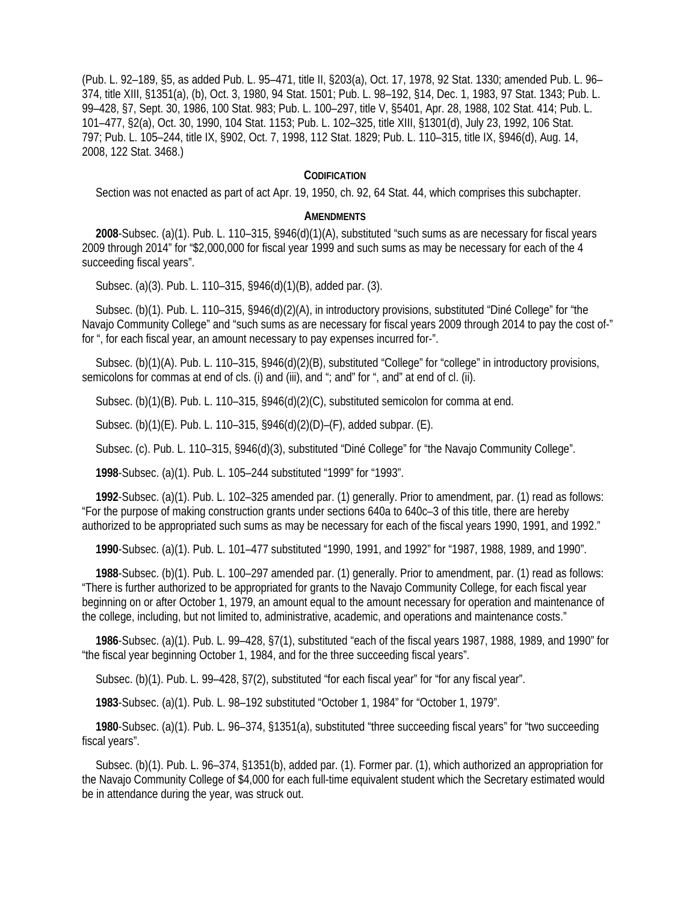(Pub. L. 92–189, §5, as added Pub. L. 95–471, title II, §203(a), Oct. 17, 1978, 92 Stat. 1330; amended Pub. L. 96– 374, title XIII, §1351(a), (b), Oct. 3, 1980, 94 Stat. 1501; Pub. L. 98–192, §14, Dec. 1, 1983, 97 Stat. 1343; Pub. L. 99–428, §7, Sept. 30, 1986, 100 Stat. 983; Pub. L. 100–297, title V, §5401, Apr. 28, 1988, 102 Stat. 414; Pub. L. 101–477, §2(a), Oct. 30, 1990, 104 Stat. 1153; Pub. L. 102–325, title XIII, §1301(d), July 23, 1992, 106 Stat. 797; Pub. L. 105–244, title IX, §902, Oct. 7, 1998, 112 Stat. 1829; Pub. L. 110–315, title IX, §946(d), Aug. 14, 2008, 122 Stat. 3468.)

#### **CODIFICATION**

Section was not enacted as part of act Apr. 19, 1950, ch. 92, 64 Stat. 44, which comprises this subchapter.

#### **AMENDMENTS**

**2008**-Subsec. (a)(1). Pub. L. 110–315, §946(d)(1)(A), substituted "such sums as are necessary for fiscal years 2009 through 2014" for "\$2,000,000 for fiscal year 1999 and such sums as may be necessary for each of the 4 succeeding fiscal years".

Subsec. (a)(3). Pub. L. 110–315, §946(d)(1)(B), added par. (3).

Subsec. (b)(1). Pub. L. 110–315, §946(d)(2)(A), in introductory provisions, substituted "Diné College" for "the Navajo Community College" and "such sums as are necessary for fiscal years 2009 through 2014 to pay the cost of-" for ", for each fiscal year, an amount necessary to pay expenses incurred for-".

Subsec. (b)(1)(A). Pub. L. 110–315, §946(d)(2)(B), substituted "College" for "college" in introductory provisions, semicolons for commas at end of cls. (i) and (iii), and "; and" for ", and" at end of cl. (ii).

Subsec. (b)(1)(B). Pub. L. 110–315, §946(d)(2)(C), substituted semicolon for comma at end.

Subsec. (b)(1)(E). Pub. L. 110–315, §946(d)(2)(D)–(F), added subpar. (E).

Subsec. (c). Pub. L. 110–315, §946(d)(3), substituted "Diné College" for "the Navajo Community College".

**1998**-Subsec. (a)(1). Pub. L. 105–244 substituted "1999" for "1993".

**1992**-Subsec. (a)(1). Pub. L. 102–325 amended par. (1) generally. Prior to amendment, par. (1) read as follows: "For the purpose of making construction grants under sections 640a to 640c–3 of this title, there are hereby authorized to be appropriated such sums as may be necessary for each of the fiscal years 1990, 1991, and 1992."

**1990**-Subsec. (a)(1). Pub. L. 101–477 substituted "1990, 1991, and 1992" for "1987, 1988, 1989, and 1990".

**1988**-Subsec. (b)(1). Pub. L. 100–297 amended par. (1) generally. Prior to amendment, par. (1) read as follows: "There is further authorized to be appropriated for grants to the Navajo Community College, for each fiscal year beginning on or after October 1, 1979, an amount equal to the amount necessary for operation and maintenance of the college, including, but not limited to, administrative, academic, and operations and maintenance costs."

**1986**-Subsec. (a)(1). Pub. L. 99–428, §7(1), substituted "each of the fiscal years 1987, 1988, 1989, and 1990" for "the fiscal year beginning October 1, 1984, and for the three succeeding fiscal years".

Subsec. (b)(1). Pub. L. 99–428, §7(2), substituted "for each fiscal year" for "for any fiscal year".

**1983**-Subsec. (a)(1). Pub. L. 98–192 substituted "October 1, 1984" for "October 1, 1979".

**1980**-Subsec. (a)(1). Pub. L. 96–374, §1351(a), substituted "three succeeding fiscal years" for "two succeeding fiscal years".

Subsec. (b)(1). Pub. L. 96–374, §1351(b), added par. (1). Former par. (1), which authorized an appropriation for the Navajo Community College of \$4,000 for each full-time equivalent student which the Secretary estimated would be in attendance during the year, was struck out.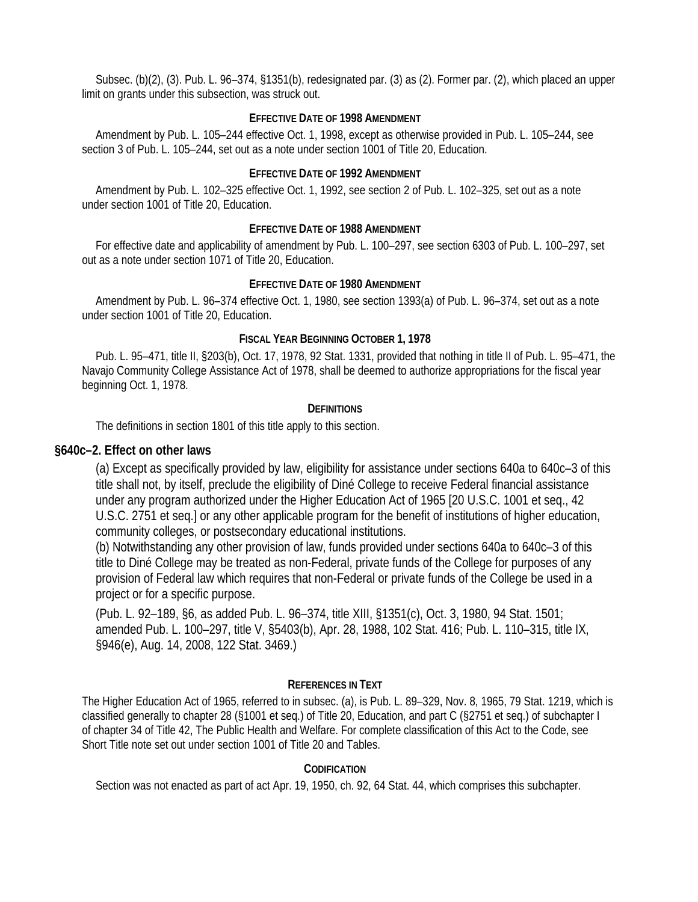Subsec. (b)(2), (3). Pub. L. 96–374, §1351(b), redesignated par. (3) as (2). Former par. (2), which placed an upper limit on grants under this subsection, was struck out.

### **EFFECTIVE DATE OF 1998 AMENDMENT**

Amendment by Pub. L. 105–244 effective Oct. 1, 1998, except as otherwise provided in Pub. L. 105–244, see section 3 of Pub. L. 105–244, set out as a note under section 1001 of Title 20, Education.

### **EFFECTIVE DATE OF 1992 AMENDMENT**

Amendment by Pub. L. 102–325 effective Oct. 1, 1992, see section 2 of Pub. L. 102–325, set out as a note under section 1001 of Title 20, Education.

### **EFFECTIVE DATE OF 1988 AMENDMENT**

For effective date and applicability of amendment by Pub. L. 100–297, see section 6303 of Pub. L. 100–297, set out as a note under section 1071 of Title 20, Education.

### **EFFECTIVE DATE OF 1980 AMENDMENT**

Amendment by Pub. L. 96–374 effective Oct. 1, 1980, see section 1393(a) of Pub. L. 96–374, set out as a note under section 1001 of Title 20, Education.

### **FISCAL YEAR BEGINNING OCTOBER 1, 1978**

Pub. L. 95–471, title II, §203(b), Oct. 17, 1978, 92 Stat. 1331, provided that nothing in title II of Pub. L. 95–471, the Navajo Community College Assistance Act of 1978, shall be deemed to authorize appropriations for the fiscal year beginning Oct. 1, 1978.

### **DEFINITIONS**

The definitions in section 1801 of this title apply to this section.

### **§640c–2. Effect on other laws**

(a) Except as specifically provided by law, eligibility for assistance under sections 640a to 640c–3 of this title shall not, by itself, preclude the eligibility of Diné College to receive Federal financial assistance under any program authorized under the Higher Education Act of 1965 [20 U.S.C. 1001 et seq., 42 U.S.C. 2751 et seq.] or any other applicable program for the benefit of institutions of higher education, community colleges, or postsecondary educational institutions.

(b) Notwithstanding any other provision of law, funds provided under sections 640a to 640c–3 of this title to Diné College may be treated as non-Federal, private funds of the College for purposes of any provision of Federal law which requires that non-Federal or private funds of the College be used in a project or for a specific purpose.

(Pub. L. 92–189, §6, as added Pub. L. 96–374, title XIII, §1351(c), Oct. 3, 1980, 94 Stat. 1501; amended Pub. L. 100–297, title V, §5403(b), Apr. 28, 1988, 102 Stat. 416; Pub. L. 110–315, title IX, §946(e), Aug. 14, 2008, 122 Stat. 3469.)

### **REFERENCES IN TEXT**

The Higher Education Act of 1965, referred to in subsec. (a), is Pub. L. 89–329, Nov. 8, 1965, 79 Stat. 1219, which is classified generally to chapter 28 (§1001 et seq.) of Title 20, Education, and part C (§2751 et seq.) of subchapter I of chapter 34 of Title 42, The Public Health and Welfare. For complete classification of this Act to the Code, see Short Title note set out under section 1001 of Title 20 and Tables.

# **CODIFICATION**

Section was not enacted as part of act Apr. 19, 1950, ch. 92, 64 Stat. 44, which comprises this subchapter.